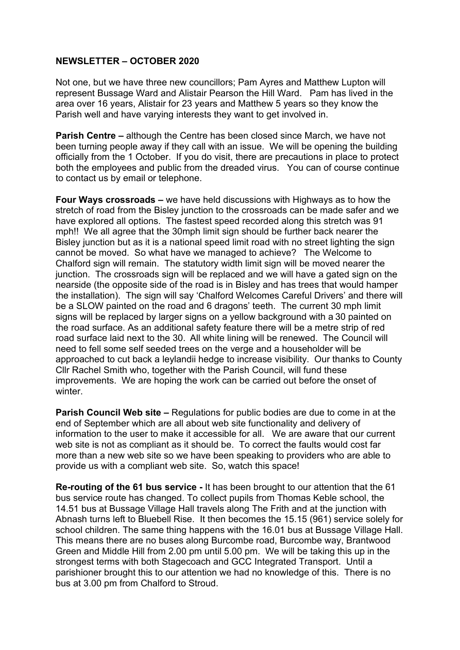## **NEWSLETTER – OCTOBER 2020**

Not one, but we have three new councillors; Pam Ayres and Matthew Lupton will represent Bussage Ward and Alistair Pearson the Hill Ward. Pam has lived in the area over 16 years, Alistair for 23 years and Matthew 5 years so they know the Parish well and have varying interests they want to get involved in.

**Parish Centre –** although the Centre has been closed since March, we have not been turning people away if they call with an issue. We will be opening the building officially from the 1 October. If you do visit, there are precautions in place to protect both the employees and public from the dreaded virus. You can of course continue to contact us by email or telephone.

**Four Ways crossroads –** we have held discussions with Highways as to how the stretch of road from the Bisley junction to the crossroads can be made safer and we have explored all options. The fastest speed recorded along this stretch was 91 mph!! We all agree that the 30mph limit sign should be further back nearer the Bisley junction but as it is a national speed limit road with no street lighting the sign cannot be moved. So what have we managed to achieve? The Welcome to Chalford sign will remain. The statutory width limit sign will be moved nearer the junction. The crossroads sign will be replaced and we will have a gated sign on the nearside (the opposite side of the road is in Bisley and has trees that would hamper the installation). The sign will say 'Chalford Welcomes Careful Drivers' and there will be a SLOW painted on the road and 6 dragons' teeth. The current 30 mph limit signs will be replaced by larger signs on a yellow background with a 30 painted on the road surface. As an additional safety feature there will be a metre strip of red road surface laid next to the 30. All white lining will be renewed. The Council will need to fell some self seeded trees on the verge and a householder will be approached to cut back a leylandii hedge to increase visibility. Our thanks to County Cllr Rachel Smith who, together with the Parish Council, will fund these improvements. We are hoping the work can be carried out before the onset of winter.

**Parish Council Web site –** Regulations for public bodies are due to come in at the end of September which are all about web site functionality and delivery of information to the user to make it accessible for all. We are aware that our current web site is not as compliant as it should be. To correct the faults would cost far more than a new web site so we have been speaking to providers who are able to provide us with a compliant web site. So, watch this space!

**Re-routing of the 61 bus service -** It has been brought to our attention that the 61 bus service route has changed. To collect pupils from Thomas Keble school, the 14.51 bus at Bussage Village Hall travels along The Frith and at the junction with Abnash turns left to Bluebell Rise. It then becomes the 15.15 (961) service solely for school children. The same thing happens with the 16.01 bus at Bussage Village Hall. This means there are no buses along Burcombe road, Burcombe way, Brantwood Green and Middle Hill from 2.00 pm until 5.00 pm. We will be taking this up in the strongest terms with both Stagecoach and GCC Integrated Transport. Until a parishioner brought this to our attention we had no knowledge of this. There is no bus at 3.00 pm from Chalford to Stroud.